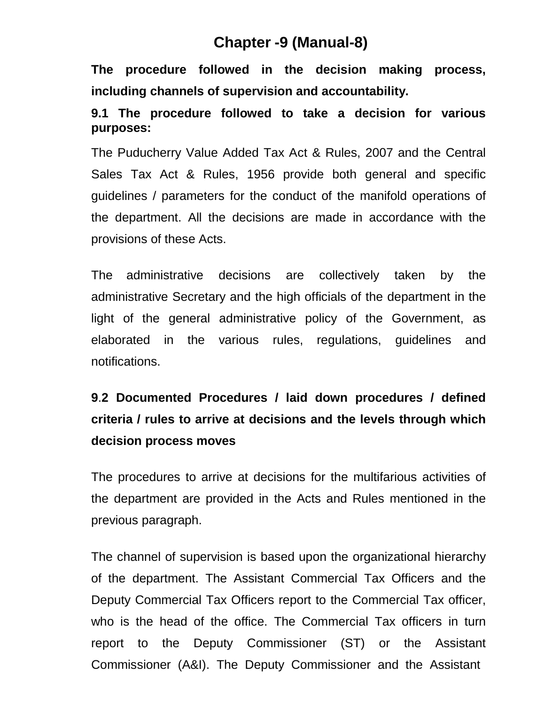# **Chapter -9 (Manual-8)**

**The procedure followed in the decision making process, including channels of supervision and accountability.**

## **9.1 The procedure followed to take a decision for various purposes:**

The Puducherry Value Added Tax Act & Rules, 2007 and the Central Sales Tax Act & Rules, 1956 provide both general and specific guidelines / parameters for the conduct of the manifold operations of the department. All the decisions are made in accordance with the provisions of these Acts.

The administrative decisions are collectively taken by the administrative Secretary and the high officials of the department in the light of the general administrative policy of the Government, as elaborated in the various rules, regulations, guidelines and notifications.

# **9**.**2 Documented Procedures / laid down procedures / defined criteria / rules to arrive at decisions and the levels through which decision process moves**

The procedures to arrive at decisions for the multifarious activities of the department are provided in the Acts and Rules mentioned in the previous paragraph.

The channel of supervision is based upon the organizational hierarchy of the department. The Assistant Commercial Tax Officers and the Deputy Commercial Tax Officers report to the Commercial Tax officer, who is the head of the office. The Commercial Tax officers in turn report to the Deputy Commissioner (ST) or the Assistant Commissioner (A&I). The Deputy Commissioner and the Assistant